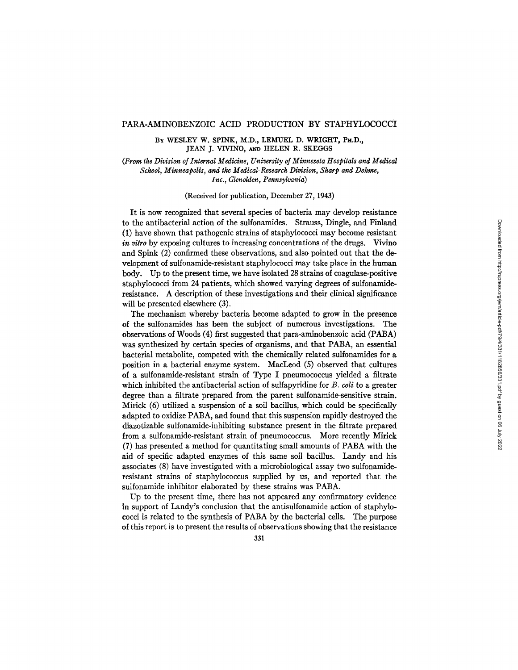BY WESLEY W. SPINK, M.D., LEMUEL D. WRIGHT, PH.D., **JEAN J. VIVINO, AND HELEN R. SKEGGS** 

(From the Division of Internal Medicine, University of Minnesota Hospitals and Medical<br>School, Minneapolis, and the Medical-Research Division, Sharp and Dohme, Inc., Glenolden, Pennsylvania)

(Received for publication, December 27, 1943)

It is now recognized that several species of bacteria may develop resistance to the antibacterial action of the sulfonamides. Strauss, Dingle, and Finland (1) have shown that pathogenic strains of staphylococci may become resistant *in vitro* by exposing cultures to increasing concentrations of the drugs. Vivino and Spink (2) confirmed these observations, and also pointed out that the development of sulfonamide-resistant staphylococci may take place in the human body. Up to the present time, we have isolated 28 strains of coagulase-positive staphylococci from 24 patients, which showed varying degrees of sulfonamideresistance. A description of these investigations and their clinical significance will be presented elsewhere  $(3)$ .

The mechanism whereby bacteria become adapted to grow in the presence of the sulfonamides has been the subject of numerous investigations. The observations of Woods (4) first suggested that para-aminobenzoic acid (PABA) was synthesized by certain species of organisms, and that PABA, an essential bacterial metabolite, competed with the chemically related sulfonamides for a position in a bacterial enzyme system. MacLeod (5) observed that cultures of a sulfonamide-resistant strain of Type I pneumococcus yielded a filtrate which inhibited the antibacterial action of sulfapyridine for  $B$ . coli to a greater degree than a filtrate prepared from the parent sulfonamide-sensitive strain. Mirick  $(6)$  utilized a suspension of a soil bacillus, which could be specifically adapted to oxidize PABA, and found that this suspension rapidly destroved the diazotizable sulfonamide-inhibiting substance present in the filtrate prepared from a sulfonamide-resistant strain of pneumococcus. More recently Mirick (7) has presented a method for quantitating small amounts of PABA with the aid of specific adapted enzymes of this same soil bacillus. Landy and his associates (8) have investigated with a microbiological assay two sulfonamideresistant strains of staphylococcus supplied by us, and reported that the sulfonamide inhibitor elaborated by these strains was PABA.

Up to the present time, there has not appeared any confirmatory evidence in support of Landy's conclusion that the antisulfonamide action of staphylo-<br>cocci is related to the synthesis of PABA by the bacterial cells. The purpose of this report is to present the results of observations showing that the resistance

331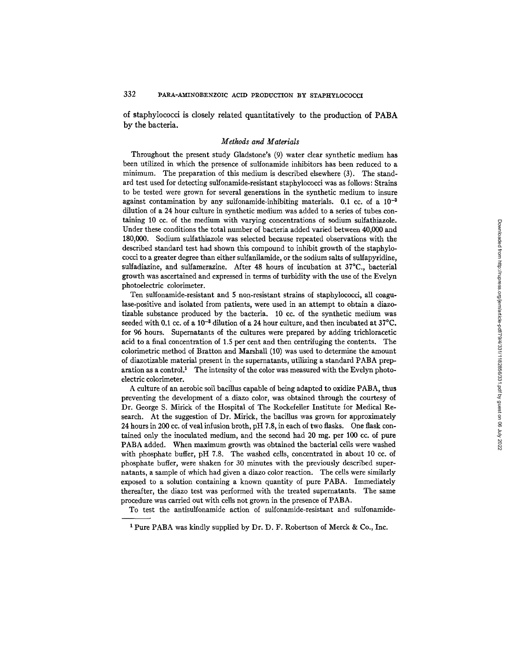of staphylococci is closely related quantitatively to the production of PABA by the bacteria.

### *Methods and Materials*

Throughout the present study Gladstone's (9) water clear synthetic medium has been utilized in which the presence of sulfonamide inhibitors has been reduced to a minimum. The preparation of this medium is described elsewhere (3). The standard test used for detecting sulfonamide-resistant staphylococci was as follows: Strains to be tested were grown for several generations in the synthetic medium to insure against contamination by any sulfonamide-inhibiting materials.  $0.1 \text{ cc}$  of a  $10^{-3}$ dilution of a 24 hour culture in synthetic medium was added to a series of tubes containing 10 cc. of the medium with varying concentrations of sodium sulfathiazole. Under these conditions the total number of bacteria added varied between 40,000 and 180,000. Sodium sulfathiazole was selected because repeated observations with the described standard test had shown this compound to inhibit growth of the staphylococci to a greater degree than either sulfanilamide, or the sodium salts of sulfapyridine, sulfadiazine, and sulfamerazine. After 48 hours of incubation at 37°C., bacterial growth was ascertained and expressed in terms of turbidity with the use of the Evelyn photoelectric colorimeter.

Ten sulfonamide-resistant and 5 non-resistant strains of staphylococci, all coagulase-positive and isolated from patients, were used in an attempt to obtain a diazotizable substance produced by the bacteria. 10 cc. of the synthetic medium was seeded with 0.1 cc. of a  $10^{-3}$  dilution of a 24 hour culture, and then incubated at  $37^{\circ}$ C. for 96 hours. Supernatants of the cultures were prepared by adding trichloracetic acid to a final concentration of 1.5 per cent and then centrifuging the contents. The colorimetric method of Bratton and Marshall (10) was used to determine the amount of diazotizable material present in the supernatants, utilizing a standard PABA prep $r_{\text{aration}}$  aration as a control.<sup>1</sup> The intensity of the color was measured with the Evelyn photoelectric colorimeter.

A culture of an aerobic soil bacillus capable of being adapted to oxidize PABA, thus preventing the development of a diazo color, was obtained through the courtesy of Dr. George S. Mirick of the Hospital of The Rockefeller Institute for Medical Research. At the suggestion of Dr. Mirick, the bacillus was grown for approximately 24 hours in 200 cc. of veal infusion broth, pH 7.8, in each of two flasks. One flask contained only the inoculated medium, and the second had 20 mg. per 100 cc. of pure PABA added. When maximum growth was obtained the bacterial cells were washed with phosphate buffer, pH 7.8. The washed cells, concentrated in about 10 cc. of phosphate buffer, were shaken for 30 minutes with the previously described supernatants, a sample of which had given a diazo color reaction. The cells were similarly exposed to a solution containing a known quantity of pure PABA. Immediately thereafter, the diazo test was performed with the treated supernatants. The same procedure was carried out with cells not grown in the presence of PABA.

To test the antisulfonamide action of sulfonamide-resistant and sulfonamide-

<sup>1</sup> Pure PABA was kindly supplied by Dr. D. F. Robertson of Merck & Co., Inc.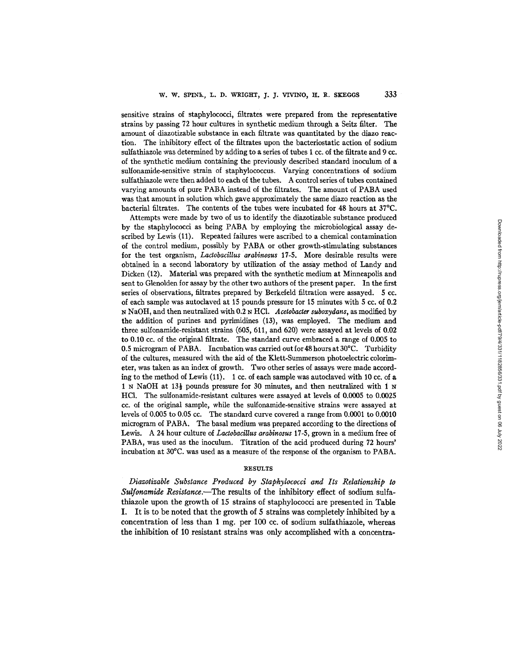sensitive strains of staphylococci, filtrates were prepared from the representative strains by passing 72 hour cultures in synthetic medium through a Seitz filter. The amount of diazotizable substance in each filtrate was quantitated by the diazo reaction. The inhibitory effect of the filtrates upon the bacteriostatic action of sodium sulfathiazole was determined by adding to a series of tubes 1 cc. of the filtrate and 9 cc. of the synthetic medium containing the previously described standard inoculum of a sulfonamide-sensitive strain of staphylococcus. Varying concentrations of sodium sulfathiazole were then added to each of the tubes. A control series of tubes contained varying amounts of pure PABA instead of the filtrates. The amount of PABA used was that amount in solution which gave approximately the same diazo reaction as the bacterial filtrates. The contents of the tubes were incubated for 48 hours at 37°C.

Attempts were made by two of us to identify the diazotizable substance produced by the staphylococci as being PABA by employing the microbiological assay described by Lewis (11). Repeated failures were ascribed to a chemical contamination of the control medium, possibly by PABA or other growth-stimulating substances for the test organism, *Lactobacillus arabinosus* 17-5. More desirable results were obtained in a second laboratory by utilization of the assay method of Landy and Dicken (12). Material was prepared with the synthetic medium at Minneapolis and sent to Glenolden for assay by the other two authors of the present paper. In the first series of observations, filtrates prepared by Berkefeld filtration were assayed. 5 cc. of each sample was autoclaved at 15 pounds pressure for 15 minutes with 5 cc. of 0.2 N NaOH, and then neutralized with 0.2 N HC1. *Acetobacter suboxydans,* as modified by the addition of purines and pyrimidines (13), was employed. The medium and three sulfonamide-resistant strains (605, 611, and 620) were assayed at levels of 0.02 to 0.10 cc. of the original filtrate. The standard curve embraced a range of 0.005 to 0.5 microgram of PABA. Incubation was carried out for 48 hours at 30°C. Turbidity of the cultures, measured with the aid of the Klett-Summerson photoelectric colorimeter, was taken as an index of growth. Two other series of assays were made according to the method of Lewis (11). 1 cc. of each sample was autodaved with 10 cc. of a 1 N NaOH at  $13\frac{1}{2}$  pounds pressure for 30 minutes, and then neutralized with 1 N **HC1.** The sulfonamide-resistant cultures were assayed at levels of 0.0005 to 0.0025 cc. of the original sample, while the sulfonamide-sensitive strains were assayed at levels of 0.005 to 0.05 cc. The standard curve covered a range from 0.0001 to 0.0010 microgram of PABA. The basal medium was prepared according to the directions of Lewis. A 24 hour culture of *Lactobacillus arabinosus* 17-5, grown in a medium free of PABA, was used as the inoculum. Titration of the acid produced during 72 hours' incubation at 30°C. was used as a measure of the response of the organism to PABA.

#### RESULTS

*Diazotizable Substance Produced by Staphylococci and Its Relationship to Sulfonamide Resistance.--The* results of the inhibitory effect of sodium sulfathiazole upon the growth of 15 strains of staphylococci are presented in Table I. It is to be noted that the growth of 5 strains was completely inhibited by a concentration of less than 1 mg. per 100 cc. of sodium sulfathiazole, whereas the inhibition of 10 resistant strains was only accomplished with a concentra-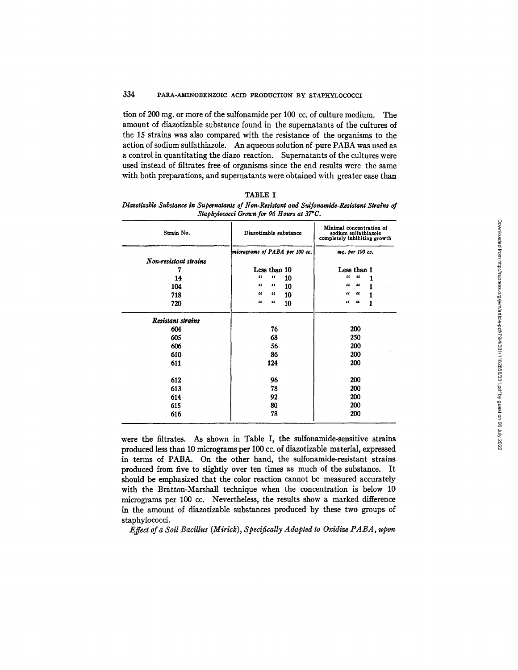tion of 200 mg. or more of the sulfonamide per 100 cc. of culture medium. The amount of diazotizable substance found in the supernatants of the cultures of the 15 strains was also compared with the resistance of the organisms to the action of sodium sulfathiazole. An aqueous solution of pure PABA was used as a control in quantitating the diazo reaction. Supernatants of the cultures were used instead of filtrates free of organisms since the end results were the same with both preparations, and supernatants were obtained with greater ease than

| 'ABL<br>H. |  |
|------------|--|
|------------|--|

*Diazotlnable Substance in Supernatants of Non-Resistant and Sulfonamide-Resistant Strains of Staphylococci Grown for 96 Hours at 37~C.* 

| Strain No.            | Diazotizable substance         | Minimal concentration of<br>sodium sulfathiazole<br>completely inhibiting growth |  |  |
|-----------------------|--------------------------------|----------------------------------------------------------------------------------|--|--|
|                       | micrograms of PABA per 100 cc. | mg. per 100 cc.                                                                  |  |  |
| Non-resistant strains |                                |                                                                                  |  |  |
|                       | Less than 10                   | Less than 1                                                                      |  |  |
| 14                    | $\epsilon$<br>66<br>10         | $\epsilon\epsilon$<br>66                                                         |  |  |
| 104                   | 66<br>66<br>10                 | "<br>66                                                                          |  |  |
| 718                   | 66<br>"<br>10                  | "<br>"                                                                           |  |  |
| 720                   | 66<br>$^{16}$<br>10            | "<br>66<br>1                                                                     |  |  |
| Resistant strains     |                                |                                                                                  |  |  |
| 604                   | 76                             | 200                                                                              |  |  |
| 605                   | 68                             | 250                                                                              |  |  |
| 606                   | 56                             | 200                                                                              |  |  |
| 610                   | 86                             | 200                                                                              |  |  |
| 611                   | 124                            | 200                                                                              |  |  |
| 612                   | 96                             | 200                                                                              |  |  |
| 613                   | 78                             | 200                                                                              |  |  |
| 614                   | 92                             | 200                                                                              |  |  |
| 615                   | 80                             | 200                                                                              |  |  |
| 616                   | 78                             | 200                                                                              |  |  |

were the filtrates. As shown in Table I, the sulfonamide-sensitive strains produced less than 10 micrograms per 100 cc. of diazotizable material, expressed in terms of PABA. On the other hand, the sulfonamide-resistant strains produced from five to slightly over ten times as much of the substance. It should be emphasized that the color reaction cannot be measured accurately with the Bratton-Marshall technique when the concentration is below 10 micrograms per 100 cc. Nevertheless, the results show a marked difference in the amount of diazotizable substances produced by these two groups of staphylococci.

*Effect of a Soil Bacillus (Mirick), Specifically Adapted to Oxidize PABA, upon*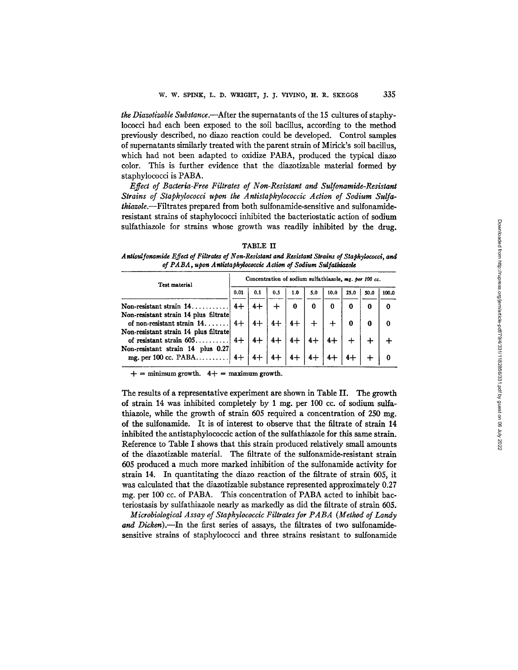*the Diazotizable Substance.--After* the supernatants of the 15 cultures of staphylococci had each been exposed to the soil bacillus, according to the method previously described, no diazo reaction could be developed. Control samples of supernatants similarly treated with the parent strain of Mirick's soil bacillus, which had not been adapted to oxidize PABA, produced the typical diazo color. This is further evidence that the diazotizable material formed by staphylococci is PABA.

*Effect of Bacteria-Free Filtrates of Non-Resistant and Sulfonamide-Resistant Strains of Staphylococci upon the Antistaphylococcic Action of Sodium Sulfathiazole.--Filtrates* prepared from both sulfonamide-sensitive and sulfonamideresistant strains of staphylococci inhibited the bacteriostatic action of sodium sulfathiazole for strains whose growth was readily inhibited by the drug.

| <b>ABLE</b> |  |
|-------------|--|
|-------------|--|

*A ntisulfonamide Effect of Filtrates of Non-Resistant and Resistant Strains of Staphylococci, and of P A B A , upon A nticta phylococcic Action of Sodium Sul fathlazole* 

| Test material                                                        |      | Concentration of sodium sulfathiazole, mg. per 100 cc. |     |     |          |      |      |      |       |
|----------------------------------------------------------------------|------|--------------------------------------------------------|-----|-----|----------|------|------|------|-------|
|                                                                      |      | 0.1                                                    | 0.5 | 1.0 | 5.0      | 10.0 | 25.0 | 50.0 | 100.0 |
| Non-resistant strain 14                                              |      |                                                        |     | 0   | $\bf{0}$ | 0    | 0    | 0    | ŋ     |
| Non-resistant strain 14 plus filtrate<br>of non-resistant strain 14. |      |                                                        |     |     |          |      |      | 0    | O     |
| Non-resistant strain 14 plus filtrate<br>of resistant strain 605     | $4+$ |                                                        |     |     |          |      |      |      |       |
| Non-resistant strain 14 plus 0.27<br>mg. per 100 cc. PABA            |      |                                                        |     |     |          |      |      |      |       |

 $+$  = minimum growth.  $4+$  = maximum growth.

The results of a representative experiment are shown in Table II. The growth of strain 14 was inhibited completely by 1 mg. per 100 cc. of sodium sulfathiazole, while the growth of strain 605 required a concentration of 250 mg. of the sulfonamide. It is of interest to observe that the filtrate of strain 14 inhibited the antistaphylococcic action of the sulfathiazole for this same strain. Reference to Table I shows that this strain produced relatively small amounts of the diazotizable material. The filtrate of the sulfonamide-resistant strain 605 produced a much more marked inhibition of the sulfonamide activity for strain 14. In quantitating the diazo reaction of the filtrate of strain 605, it was calculated that the diazotizable substance represented approximately 0.27 mg. per 100 cc. of PABA. This concentration of PABA acted to inhibit bacteriostasis by sulfathiazole nearly as markedly as did the filtrate of strain 605.

*Microbiological Assay of Staphylococcic Filtrates for PABA (Method of Landy*  and Dicken).--In the first series of assays, the filtrates of two sulfonamidesensitive strains of staphylococci and three strains resistant to sulfonamide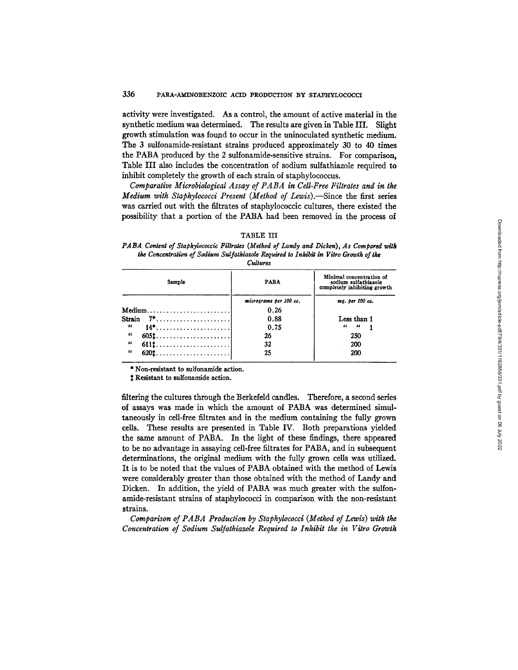activity were investigated. As a control, the amount of active material in the synthetic medium was determined. The results are given in Table III. Slight growth stimulation was found to occur in the uninoculated synthetic medium. The 3 sulfonamide-resistant strains produced approximately 30 to 40 times the PABA produced by the 2 sulfonamide-sensitive strains. For comparison, Table III also includes the concentration of sodium sulfathiazole required to inhibit completely the growth of each strain of staphylococcus.

*Comparative Microbiological Assay of PABA in Cell-Free Filtrates and in the Medium with Staphylococci Present (Method of Lewis).*-Since the first series was carried out with the filtrates of staphylococcic cultures, there existed the possibility that a portion of the PABA had been removed in the process of

| <b>PABA</b>            | Minimal concentration of<br>sodium sulfathiazole<br>completely inhibiting growth |
|------------------------|----------------------------------------------------------------------------------|
| micrograms per 100 cc. | mg. per 100 cc.                                                                  |
| 0.26                   |                                                                                  |
| 0.88                   | Less than 1                                                                      |
| 0.75                   | 66<br>$\overline{\phantom{a}}$                                                   |
| 26                     | 250                                                                              |
| 32                     | 200                                                                              |
| 25                     | 200                                                                              |
|                        |                                                                                  |

### TABLE III

*PABA Content of Staphylococcic Filtrates (Metkod of Landy and Dicken), As Compared wltk the Concentration of Sodium Sul fatklanole Required to Inhibit in Vitro Growth of the Cultures* 

\* Non-resistant to sulfonamide action.

Resistant to sulfonamide action.

filtering the cultures through the Berkefeld candles. Therefore, a second series of assays was made in which the amount of PABA was determined simultaneously in cell-free filtrates and in the medium containing the fully grown cells. These results are presented in Table IV. Both preparations yielded the same amount of PABA. In the light of these findings, there appeared to be no advantage in assaying cell-free filtrates for PABA, and in subsequent determinations, the original medium with the fully grown cells was utilized. It is to be noted that the values of PABA obtained with the method of Lewis were considerably greater than those obtained with the method of Landy and Dicken. In addition, the yield of PABA was much greater with the sulfonamide-resistant strains of staphylococci in comparison with the non-resistant strains.

*Comparison of PABA Production by Staphylococci (Method of Lewis) with the Concentration of Sodium Sulfathiazole Required to Inhibit the in Vitro Growth*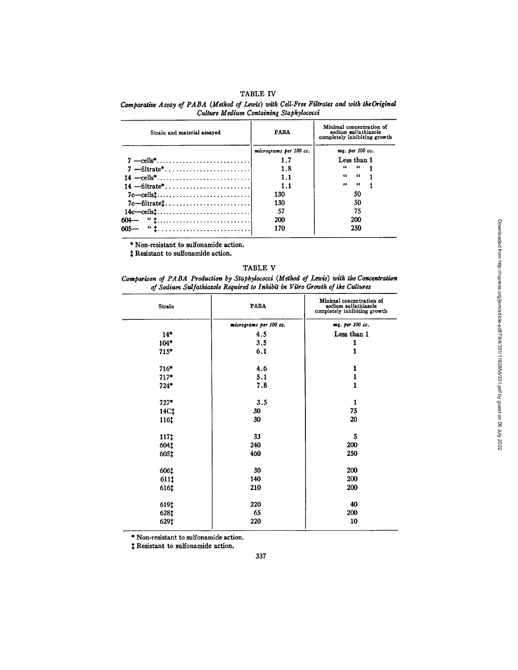## TABLE IV

Comparative Assay of PABA (Method of Lewis) with Cell-Free Filtrates and with the Original *Culture Medium Containing Staphylococci* 

| Strain and material assayed | <b>PABA</b>            | Minimal concentration of<br>sodium sulfathiazole<br>completely inhibiting growth |  |  |
|-----------------------------|------------------------|----------------------------------------------------------------------------------|--|--|
|                             | micrograms per 100 cc. | mg. per 100 cc.                                                                  |  |  |
|                             | 1.7                    | Less than 1                                                                      |  |  |
|                             | 1.8                    | $\alpha = \alpha$                                                                |  |  |
|                             | 1.1                    | "<br>$\epsilon$                                                                  |  |  |
|                             | 1.1                    | $\epsilon$<br>"                                                                  |  |  |
| $7c$ -cellst                | 130                    | 50                                                                               |  |  |
| $7c$ —filtratet             | 130                    | 50                                                                               |  |  |
|                             | 57                     | 75                                                                               |  |  |
| $604 -$ " $1$               | 200                    | 200                                                                              |  |  |
| $605 -$                     | 170                    | 250                                                                              |  |  |

**\*** Non-resistant to sulfonamide action.

 $‡$  Resistant to sulfonamide action.

## TABLE V

*Comparison of PABA Production by Staphylococci (Method of Lewis) with the Concenlralion of Sodium Sulfathiazole Required to Inhibit in Vitro Growth of the Cultures* 

| Strain | <b>PABA</b>            | Minimal concentration of<br>sodium sulfathiazole<br>completely inhibiting growth |
|--------|------------------------|----------------------------------------------------------------------------------|
|        | micrograms per 100 cc. | mg. per 100 cc.                                                                  |
| $14*$  | 4.5                    | Less than 1                                                                      |
| $104*$ | 3.5                    | 1                                                                                |
| $715*$ | 6.1                    | 1                                                                                |
| $716*$ | 4.6                    | 1                                                                                |
| $717*$ | 5.1                    | 1                                                                                |
| $724*$ | 7.8                    | $\mathbf{1}$                                                                     |
| $727*$ | 3.5                    | $\mathbf{1}$                                                                     |
| 14C‡   | 30                     | 75                                                                               |
| 116‡   | 30                     | 20                                                                               |
| 1171   | 33                     | 5                                                                                |
| 604t   | 240                    | 200                                                                              |
| 605‡   | 460                    | 250                                                                              |
| 606‡   | 30                     | 200                                                                              |
| 611‡   | 140                    | 200                                                                              |
| 616‡   | 210                    | 200                                                                              |
| 619‡   | 220                    | 40                                                                               |
| 628‡   | 65                     | 200                                                                              |
| 629‡   | 220                    | 10                                                                               |

**\*** Non-resistant to sulfonamide action.

Resistant to sulfonamide action.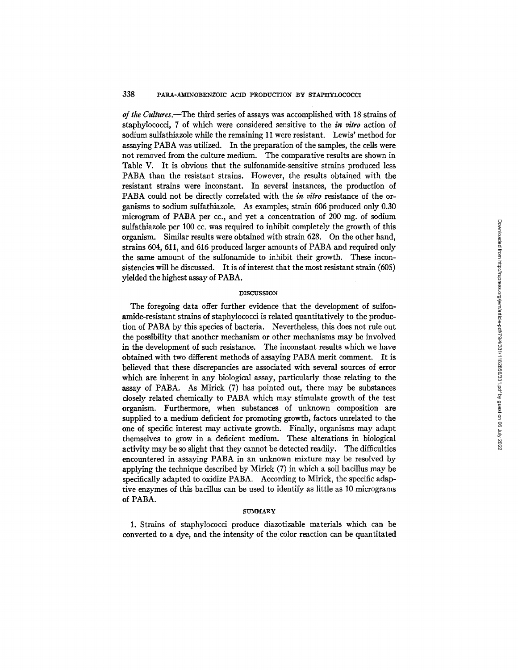*of the Cultures.--The* third series of assays was accomplished with 18 strains of staphylococci, 7 of which were considered sensitive to the *in vitro* action of sodium sulfathiazole while the remaining 11 were resistant. Lewis' method for assaying PABA was utilized. In the preparation of the samples, the cells were not removed from the culture medium. The comparative results are shown in Table V. It is obvious that the sulfonamide-sensitive strains produced less PABA than the resistant strains. However, the results obtained with the resistant strains were inconstant. In several instances, the production of PABA could not be directly correlated with the *in vitro* resistance of the organisms to sodium sulfathiazole. As examples, strain 606 produced only 0.30 microgram of PABA per cc., and yet a concentration of 200 mg. of sodium sulfathiazole per 100 cc. was required to inhibit completely the growth of this organism. Similar results were obtained with strain 628. On the other hand, strains 604, 611, and 616 produced larger amounts of PABA and required only the same amount of the sulfonamide to inhibit their growth. These inconsistencies will be discussed. It is of interest that the most resistant strain (605) yielded the highest assay of PABA.

## DISCUSSION

The foregoing data offer further evidence that the development of sulfonamide-resistant strains of staphylococci is related quantitatively to the production of PABA by this species of bacteria. Nevertheless, this does not rule out the possibility that another mechanism or other mechanisms may be involved in the development of such resistance. The inconstant results which we have obtained with two different methods of assaying PABA merit comment. It is believed that these discrepancies are associated with several sources of error which are inherent in any biological assay, particularly those relating to the assay of PABA. As Mirick (7) has pointed out, there may be substances closely related chemically to PABA which may stimulate growth of the test organism. Furthermore, when substances of unknown composition are supplied to a medium deficient for promoting growth, factors unrelated to the one of specific interest may activate growth. Finally, organisms may adapt themselves to grow in a deficient medium. These alterations in biological activity may be so slight that they cannot be detected readily. The difficulties encountered in assaying PABA in an unknown mixture may be resolved by applying the technique described by Mirick (7) in which a soil bacillus may be specifically adapted to oxidize PABA. According to Mirick, the specific adaptive enzymes of this bacillus can be used to identify as little as 10 micrograms of PABA.

#### **SUMMARY**

1. Strains of staphylococci produce diazotizable materials which can be converted to a dye, and the intensity of the color reaction can be quantitated